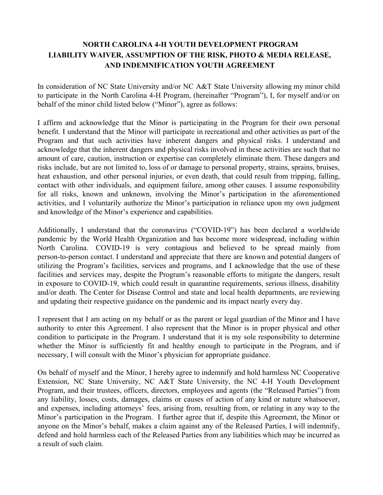# **NORTH CAROLINA 4-H YOUTH DEVELOPMENT PROGRAM LIABILITY WAIVER, ASSUMPTION OF THE RISK, PHOTO & MEDIA RELEASE, AND INDEMNIFICATION YOUTH AGREEMENT**

In consideration of NC State University and/or NC A&T State University allowing my minor child to participate in the North Carolina 4-H Program, (hereinafter "Program"), I, for myself and/or on behalf of the minor child listed below ("Minor"), agree as follows:

I affirm and acknowledge that the Minor is participating in the Program for their own personal benefit. I understand that the Minor will participate in recreational and other activities as part of the Program and that such activities have inherent dangers and physical risks. I understand and acknowledge that the inherent dangers and physical risks involved in these activities are such that no amount of care, caution, instruction or expertise can completely eliminate them. These dangers and risks include, but are not limited to, loss of or damage to personal property, strains, sprains, bruises, heat exhaustion, and other personal injuries, or even death, that could result from tripping, falling, contact with other individuals, and equipment failure, among other causes. I assume responsibility for all risks, known and unknown, involving the Minor's participation in the aforementioned activities, and I voluntarily authorize the Minor's participation in reliance upon my own judgment and knowledge of the Minor's experience and capabilities.

Additionally, I understand that the coronavirus ("COVID-19") has been declared a worldwide pandemic by the World Health Organization and has become more widespread, including within North Carolina. COVID-19 is very contagious and believed to be spread mainly from person-to-person contact. I understand and appreciate that there are known and potential dangers of utilizing the Program's facilities, services and programs, and I acknowledge that the use of these facilities and services may, despite the Program's reasonable efforts to mitigate the dangers, result in exposure to COVID-19, which could result in quarantine requirements, serious illness, disability and/or death. The Center for Disease Control and state and local health departments, are reviewing and updating their respective guidance on the pandemic and its impact nearly every day.

I represent that I am acting on my behalf or as the parent or legal guardian of the Minor and I have authority to enter this Agreement. I also represent that the Minor is in proper physical and other condition to participate in the Program. I understand that it is my sole responsibility to determine whether the Minor is sufficiently fit and healthy enough to participate in the Program, and if necessary, I will consult with the Minor's physician for appropriate guidance.

On behalf of myself and the Minor, I hereby agree to indemnify and hold harmless NC Cooperative Extension, NC State University, NC A&T State University, the NC 4-H Youth Development Program, and their trustees, officers, directors, employees and agents (the "Released Parties") from any liability, losses, costs, damages, claims or causes of action of any kind or nature whatsoever, and expenses, including attorneys' fees, arising from, resulting from, or relating in any way to the Minor's participation in the Program. I further agree that if, despite this Agreement, the Minor or anyone on the Minor's behalf, makes a claim against any of the Released Parties, I will indemnify, defend and hold harmless each of the Released Parties from any liabilities which may be incurred as a result of such claim.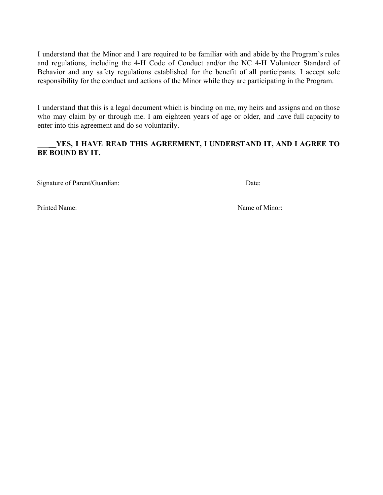I understand that the Minor and I are required to be familiar with and abide by the Program's rules and regulations, including the 4-H Code of Conduct and/or the NC 4-H Volunteer Standard of Behavior and any safety regulations established for the benefit of all participants. I accept sole responsibility for the conduct and actions of the Minor while they are participating in the Program.

I understand that this is a legal document which is binding on me, my heirs and assigns and on those who may claim by or through me. I am eighteen years of age or older, and have full capacity to enter into this agreement and do so voluntarily.

### \_\_\_**\_\_YES, I HAVE READ THIS AGREEMENT, I UNDERSTAND IT, AND I AGREE TO BE BOUND BY IT.**

Signature of Parent/Guardian: Date:

Printed Name: Name of Minor: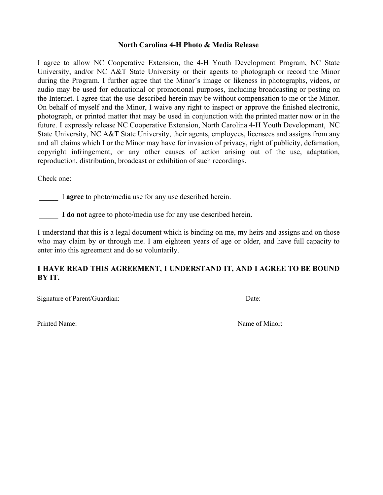#### **North Carolina 4-H Photo & Media Release**

I agree to allow NC Cooperative Extension, the 4-H Youth Development Program, NC State University, and/or NC A&T State University or their agents to photograph or record the Minor during the Program. I further agree that the Minor's image or likeness in photographs, videos, or audio may be used for educational or promotional purposes, including broadcasting or posting on the Internet. I agree that the use described herein may be without compensation to me or the Minor. On behalf of myself and the Minor, I waive any right to inspect or approve the finished electronic, photograph, or printed matter that may be used in conjunction with the printed matter now or in the future. I expressly release NC Cooperative Extension, North Carolina 4-H Youth Development, NC State University, NC A&T State University, their agents, employees, licensees and assigns from any and all claims which I or the Minor may have for invasion of privacy, right of publicity, defamation, copyright infringement, or any other causes of action arising out of the use, adaptation, reproduction, distribution, broadcast or exhibition of such recordings.

Check one:

I **agree** to photo/media use for any use described herein.

I **do not** agree to photo/media use for any use described herein.

I understand that this is a legal document which is binding on me, my heirs and assigns and on those who may claim by or through me. I am eighteen years of age or older, and have full capacity to enter into this agreement and do so voluntarily.

# **I HAVE READ THIS AGREEMENT, I UNDERSTAND IT, AND I AGREE TO BE BOUND BY IT.**

Signature of Parent/Guardian: Date:

Printed Name: Name of Minor: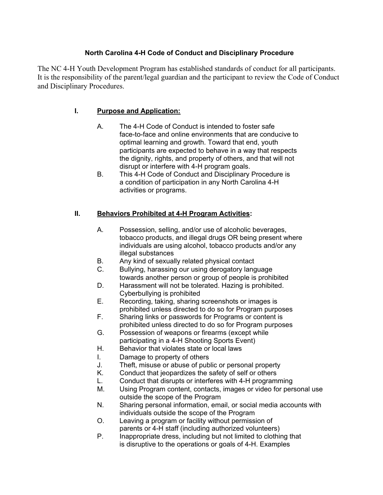# **North Carolina 4-H Code of Conduct and Disciplinary Procedure**

The NC 4-H Youth Development Program has established standards of conduct for all participants. It is the responsibility of the parent/legal guardian and the participant to review the Code of Conduct and Disciplinary Procedures.

### **I. Purpose and Application:**

- A. The 4-H Code of Conduct is intended to foster safe face-to-face and online environments that are conducive to optimal learning and growth. Toward that end, youth participants are expected to behave in a way that respects the dignity, rights, and property of others, and that will not disrupt or interfere with 4-H program goals.
- B. This 4-H Code of Conduct and Disciplinary Procedure is a condition of participation in any North Carolina 4-H activities or programs.

### **II. Behaviors Prohibited at 4-H Program Activities:**

- A. Possession, selling, and/or use of alcoholic beverages, tobacco products, and illegal drugs OR being present where individuals are using alcohol, tobacco products and/or any illegal substances
- B. Any kind of sexually related physical contact
- C. Bullying, harassing our using derogatory language towards another person or group of people is prohibited
- D. Harassment will not be tolerated. Hazing is prohibited. Cyberbullying is prohibited
- E. Recording, taking, sharing screenshots or images is prohibited unless directed to do so for Program purposes
- F. Sharing links or passwords for Programs or content is prohibited unless directed to do so for Program purposes
- G. Possession of weapons or firearms (except while participating in a 4-H Shooting Sports Event)
- H. Behavior that violates state or local laws
- I. Damage to property of others
- J. Theft, misuse or abuse of public or personal property
- K. Conduct that jeopardizes the safety of self or others
- L. Conduct that disrupts or interferes with 4-H programming
- M. Using Program content, contacts, images or video for personal use outside the scope of the Program
- N. Sharing personal information, email, or social media accounts with individuals outside the scope of the Program
- O. Leaving a program or facility without permission of parents or 4-H staff (including authorized volunteers)
- P. Inappropriate dress, including but not limited to clothing that is disruptive to the operations or goals of 4-H. Examples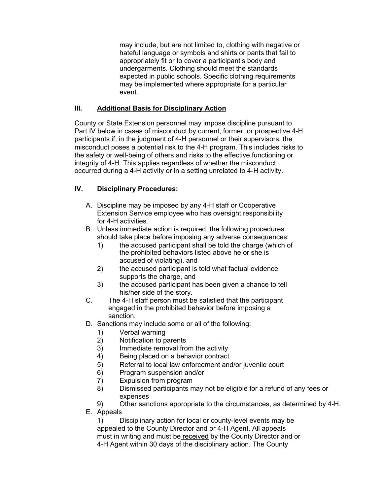may include, but are not limited to, clothing with negative or hateful language or symbols and shirts or pants that fail to appropriately fit or to cover a participant's body and undergarments. Clothing should meet the standards expected in public schools. Specific clothing requirements may be implemented where appropriate for a particular event.

### **III. Additional Basis for Disciplinary Action**

County or State Extension personnel may impose discipline pursuant to Part IV below in cases of misconduct by current, former, or prospective 4-H participants if, in the judgment of 4-H personnel or their supervisors, the misconduct poses a potential risk to the 4-H program. This includes risks to the safety or well-being of others and risks to the effective functioning or integrity of 4-H. This applies regardless of whether the misconduct occurred during a 4-H activity or in a setting unrelated to 4-H activity.

#### **IV. Disciplinary Procedures:**

- A. Discipline may be imposed by any 4-H staff or Cooperative Extension Service employee who has oversight responsibility for 4-H activities.
- B. Unless immediate action is required, the following procedures should take place before imposing any adverse consequences:
	- 1) the accused participant shall be told the charge (which of the prohibited behaviors listed above he or she is accused of violating), and
	- 2) the accused participant is told what factual evidence supports the charge, and
	- 3) the accused participant has been given a chance to tell his/her side of the story.
- C. The 4-H staff person must be satisfied that the participant engaged in the prohibited behavior before imposing a sanction.
- D. Sanctions may include some or all of the following:
	- 1) Verbal warning
	- 2) Notification to parents
	- 3) Immediate removal from the activity
	- 4) Being placed on a behavior contract
	- 5) Referral to local law enforcement and/or juvenile court
	- 6) Program suspension and/or
	- 7) Expulsion from program
	- 8) Dismissed participants may not be eligible for a refund of any fees or expenses
	- 9) Other sanctions appropriate to the circumstances, as determined by 4-H.
- E. Appeals

1) Disciplinary action for local or county-level events may be appealed to the County Director and or 4-H Agent. All appeals must in writing and must be received by the County Director and or 4-H Agent within 30 days of the disciplinary action. The County